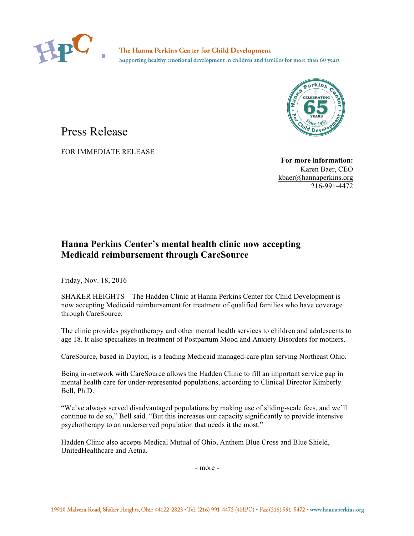

The Hanna Perkins Center for Child Development Supporting healthy emotional development in children and families for more than 60 years



## Press Release

FOR IMMEDIATE RELEASE

**For more information:** Karen Baer, CEO [kbaer@hannaperkins.org](mailto:kbaer@hannaperkins.org) 216-991-4472

## **Hanna Perkins Center's mental health clinic now accepting Medicaid reimbursement through CareSource**

Friday, Nov. 18, 2016

SHAKER HEIGHTS – The Hadden Clinic at Hanna Perkins Center for Child Development is now accepting Medicaid reimbursement for treatment of qualified families who have coverage through CareSource.

The clinic provides psychotherapy and other mental health services to children and adolescents to age 18. It also specializes in treatment of Postpartum Mood and Anxiety Disorders for mothers.

CareSource, based in Dayton, is a leading Medicaid managed-care plan serving Northeast Ohio.

Being in-network with CareSource allows the Hadden Clinic to fill an important service gap in mental health care for under-represented populations, according to Clinical Director Kimberly Bell, Ph.D.

"We've always served disadvantaged populations by making use of sliding-scale fees, and we'll continue to do so," Bell said. "But this increases our capacity significantly to provide intensive psychotherapy to an underserved population that needs it the most."

Hadden Clinic also accepts Medical Mutual of Ohio, Anthem Blue Cross and Blue Shield, UnitedHealthcare and Aetna.

- more -